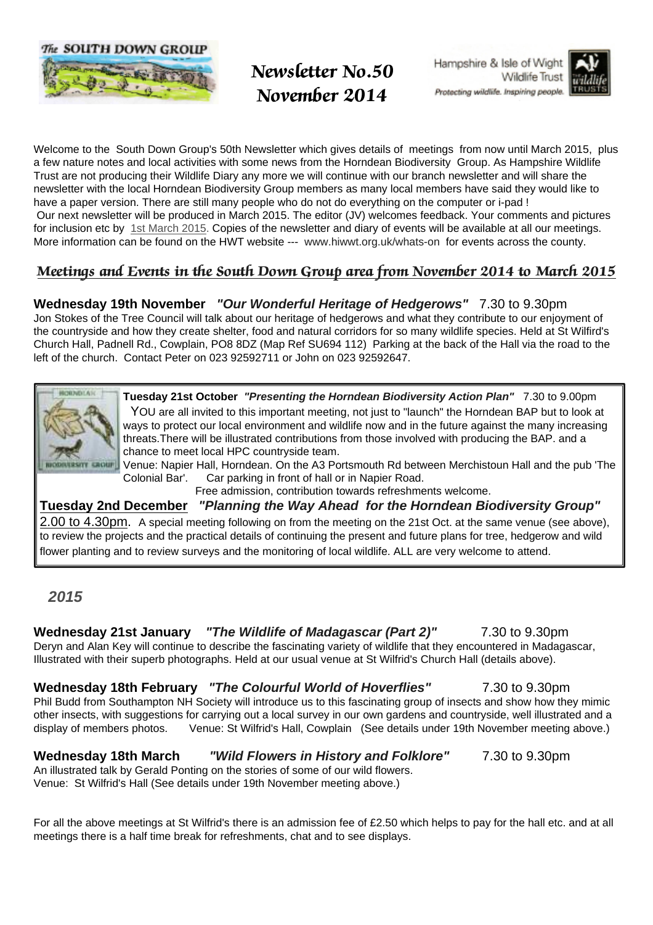



- - - - -- !#"

Hampshire & Isle of Wight Wildlife Trust



Welcome to the South Down Group's 50th Newsletter which gives details of meetings from now until March 2015, plus a few nature notes and local activities with some news from the Horndean Biodiversity Group. As Hampshire Wildlife Trust are not producing their Wildlife Diary any more we will continue with our branch newsletter and will share the newsletter with the local Horndean Biodiversity Group members as many local members have said they would like to have a paper version. There are still many people who do not do everything on the computer or i-pad ! Our next newsletter will be produced in March 2015. The editor (JV) welcomes feedback. Your comments and pictures for inclusion etc by 1st March 2015. Copies of the newsletter and diary of events will be available at all our meetings. More information can be found on the HWT website --- www.hiwwt.org.uk/whats-on for events across the county.

### Meetings and Events in the South Down Group area from November 2014 to March 2015

**Wednesday 19th November "Our Wonderful Heritage of Hedgerows"** 7.30 to 9.30pm

Jon Stokes of the Tree Council will talk about our heritage of hedgerows and what they contribute to our enjoyment of the countryside and how they create shelter, food and natural corridors for so many wildlife species. Held at St Wilfird's Church Hall, Padnell Rd., Cowplain, PO8 8DZ (Map Ref SU694 112) Parking at the back of the Hall via the road to the left of the church. Contact Peter on 023 92592711 or John on 023 92592647.



**Tuesday 21st October "Presenting the Horndean Biodiversity Action Plan"** 7.30 to 9.00pm YOU are all invited to this important meeting, not just to "launch" the Horndean BAP but to look at ways to protect our local environment and wildlife now and in the future against the many increasing threats.There will be illustrated contributions from those involved with producing the BAP. and a chance to meet local HPC countryside team.

Venue: Napier Hall, Horndean. On the A3 Portsmouth Rd between Merchistoun Hall and the pub 'The Colonial Bar'. Car parking in front of hall or in Napier Road.

Free admission, contribution towards refreshments welcome.

**Tuesday 2nd December "Planning the Way Ahead for the Horndean Biodiversity Group"** 2.00 to 4.30pm. A special meeting following on from the meeting on the 21st Oct. at the same venue (see above), to review the projects and the practical details of continuing the present and future plans for tree, hedgerow and wild flower planting and to review surveys and the monitoring of local wildlife. ALL are very welcome to attend.

#### **2015**

**Wednesday 21st January "The Wildlife of Madagascar (Part 2)"** 7.30 to 9.30pm Deryn and Alan Key will continue to describe the fascinating variety of wildlife that they encountered in Madagascar, Illustrated with their superb photographs. Held at our usual venue at St Wilfrid's Church Hall (details above).

#### **Wednesday 18th February "The Colourful World of Hoverflies"** 7.30 to 9.30pm

Phil Budd from Southampton NH Society will introduce us to this fascinating group of insects and show how they mimic other insects, with suggestions for carrying out a local survey in our own gardens and countryside, well illustrated and a display of members photos. Venue: St Wilfrid's Hall, Cowplain (See details under 19th November meeting above.)

#### **Wednesday 18th March "Wild Flowers in History and Folklore"** 7.30 to 9.30pm

An illustrated talk by Gerald Ponting on the stories of some of our wild flowers. Venue: St Wilfrid's Hall (See details under 19th November meeting above.)

For all the above meetings at St Wilfrid's there is an admission fee of £2.50 which helps to pay for the hall etc. and at all meetings there is a half time break for refreshments, chat and to see displays.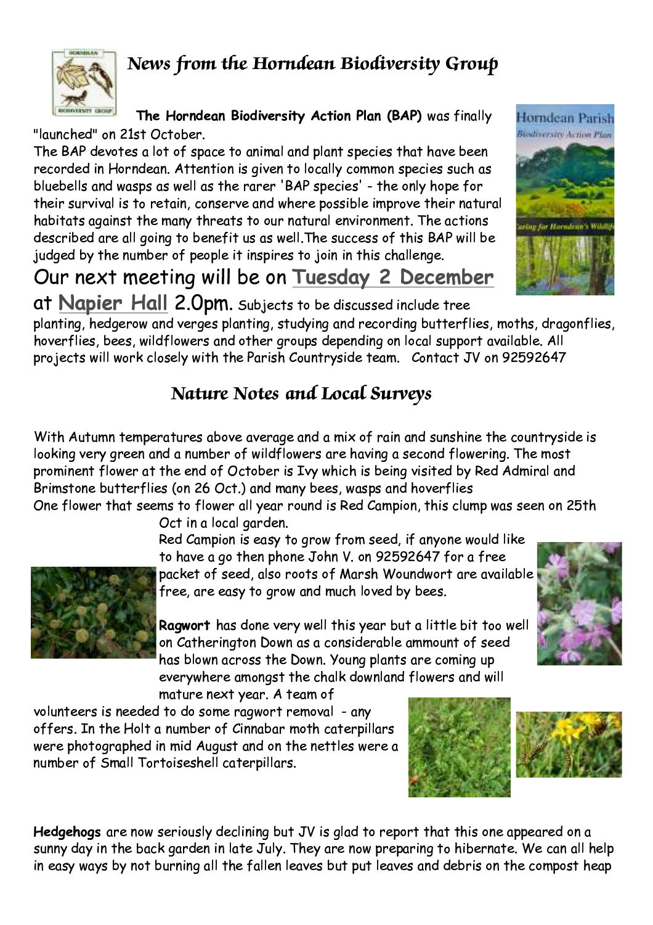## News from the Horndean Biodiversity Group



The Horndean Biodiversity Action Plan (BAP) was finally

"launched" on 21st October.

The BAP devotes a lot of space to animal and plant species that have been recorded in Horndean. Attention is given to locally common species such as bluebells and wasps as well as the rarer 'BAP species' - the only hope for their survival is to retain, conserve and where possible improve their natural habitats against the many threats to our natural environment. The actions described are all going to benefit us as well. The success of this BAP will be judged by the number of people it inspires to join in this challenge.

Our next meeting will be on Tuesday 2 December at Napier Hall 2.0pm. Subjects to be discussed include tree

planting, hedgerow and verges planting, studying and recording butterflies, moths, dragonflies, hoverflies, bees, wildflowers and other groups depending on local support available. All projects will work closely with the Parish Countryside team. Contact JV on 92592647

# **Nature Notes and Local Surveys**

With Autumn temperatures above average and a mix of rain and sunshine the countryside is looking very green and a number of wildflowers are having a second flowering. The most prominent flower at the end of October is Ivy which is being visited by Red Admiral and Brimstone butterflies (on 26 Oct.) and many bees, wasps and hoverflies One flower that seems to flower all year round is Red Campion, this clump was seen on 25th

> Oct in a local garden. Red Campion is easy to grow from seed, if anyone would like to have a go then phone John V. on 92592647 for a free packet of seed, also roots of Marsh Woundwort are available



free, are easy to grow and much loved by bees.

Ragwort has done very well this year but a little bit too well on Catherington Down as a considerable ammount of seed has blown across the Down. Young plants are coming up everywhere amongst the chalk downland flowers and will

mature next year. A team of

volunteers is needed to do some ragwort removal - any offers. In the Holt a number of Cinnabar moth caterpillars were photographed in mid August and on the nettles were a number of Small Tortoiseshell caterpillars.

Hedgehogs are now seriously declining but JV is glad to report that this one appeared on a sunny day in the back garden in late July. They are now preparing to hibernate. We can all help in easy ways by not burning all the fallen leaves but put leaves and debris on the compost heap